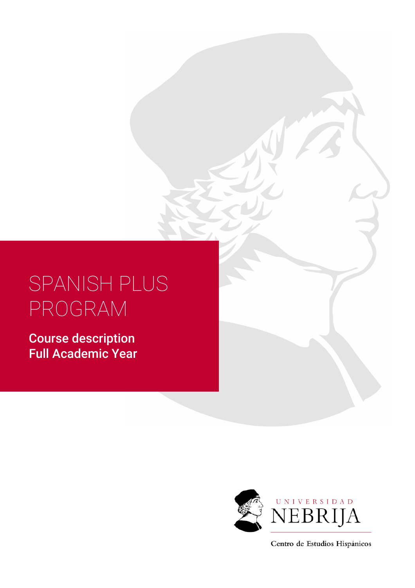# SPANISH PLUS PROGRAM

Course description Full Academic Year



Centro de Estudios Hispánicos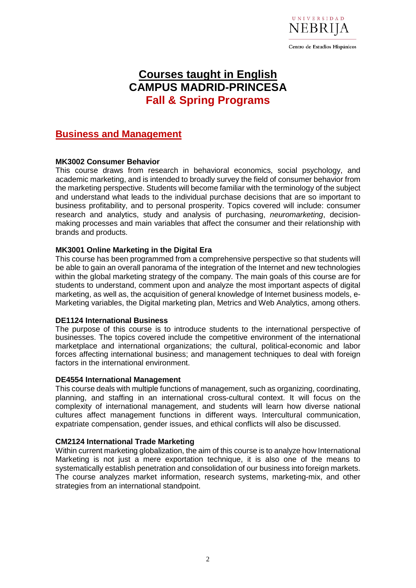

# **Courses taught in English CAMPUS MADRID-PRINCESA Fall & Spring Programs**

## **Business and Management**

#### **MK3002 Consumer Behavior**

This course draws from research in behavioral economics, social psychology, and academic marketing, and is intended to broadly survey the field of consumer behavior from the marketing perspective. Students will become familiar with the terminology of the subject and understand what leads to the individual purchase decisions that are so important to business profitability, and to personal prosperity. Topics covered will include: consumer research and analytics, study and analysis of purchasing, *neuromarketing*, decisionmaking processes and main variables that affect the consumer and their relationship with brands and products.

#### **MK3001 Online Marketing in the Digital Era**

This course has been programmed from a comprehensive perspective so that students will be able to gain an overall panorama of the integration of the Internet and new technologies within the global marketing strategy of the company. The main goals of this course are for students to understand, comment upon and analyze the most important aspects of digital marketing, as well as, the acquisition of general knowledge of Internet business models, e-Marketing variables, the Digital marketing plan, Metrics and Web Analytics, among others.

#### **DE1124 International Business**

The purpose of this course is to introduce students to the international perspective of businesses. The topics covered include the competitive environment of the international marketplace and international organizations; the cultural, political-economic and labor forces affecting international business; and management techniques to deal with foreign factors in the international environment.

#### **DE4554 International Management**

This course deals with multiple functions of management, such as organizing, coordinating, planning, and staffing in an international cross-cultural context. It will focus on the complexity of international management, and students will learn how diverse national cultures affect management functions in different ways. Intercultural communication, expatriate compensation, gender issues, and ethical conflicts will also be discussed.

#### **CM2124 International Trade Marketing**

Within current marketing globalization, the aim of this course is to analyze how International Marketing is not just a mere exportation technique, it is also one of the means to systematically establish penetration and consolidation of our business into foreign markets. The course analyzes market information, research systems, marketing-mix, and other strategies from an international standpoint.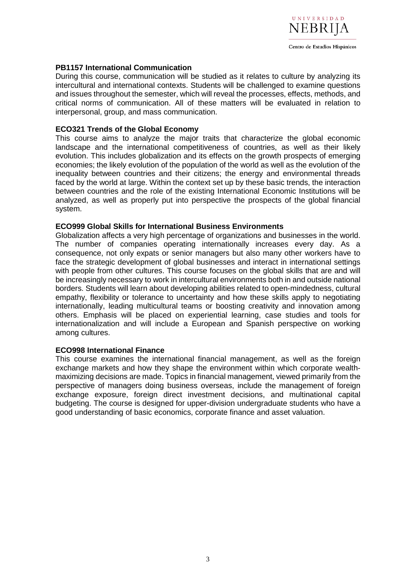

#### **PB1157 International Communication**

During this course, communication will be studied as it relates to culture by analyzing its intercultural and international contexts. Students will be challenged to examine questions and issues throughout the semester, which will reveal the processes, effects, methods, and critical norms of communication. All of these matters will be evaluated in relation to interpersonal, group, and mass communication.

#### **ECO321 Trends of the Global Economy**

This course aims to analyze the major traits that characterize the global economic landscape and the international competitiveness of countries, as well as their likely evolution. This includes globalization and its effects on the growth prospects of emerging economies; the likely evolution of the population of the world as well as the evolution of the inequality between countries and their citizens; the energy and environmental threads faced by the world at large. Within the context set up by these basic trends, the interaction between countries and the role of the existing International Economic Institutions will be analyzed, as well as properly put into perspective the prospects of the global financial system.

#### **ECO999 Global Skills for International Business Environments**

Globalization affects a very high percentage of organizations and businesses in the world. The number of companies operating internationally increases every day. As a consequence, not only expats or senior managers but also many other workers have to face the strategic development of global businesses and interact in international settings with people from other cultures. This course focuses on the global skills that are and will be increasingly necessary to work in intercultural environments both in and outside national borders. Students will learn about developing abilities related to open-mindedness, cultural empathy, flexibility or tolerance to uncertainty and how these skills apply to negotiating internationally, leading multicultural teams or boosting creativity and innovation among others. Emphasis will be placed on experiential learning, case studies and tools for internationalization and will include a European and Spanish perspective on working among cultures.

#### **ECO998 International Finance**

This course examines the international financial management, as well as the foreign exchange markets and how they shape the environment within which corporate wealthmaximizing decisions are made. Topics in financial management, viewed primarily from the perspective of managers doing business overseas, include the management of foreign exchange exposure, foreign direct investment decisions, and multinational capital budgeting. The course is designed for upper-division undergraduate students who have a good understanding of basic economics, corporate finance and asset valuation.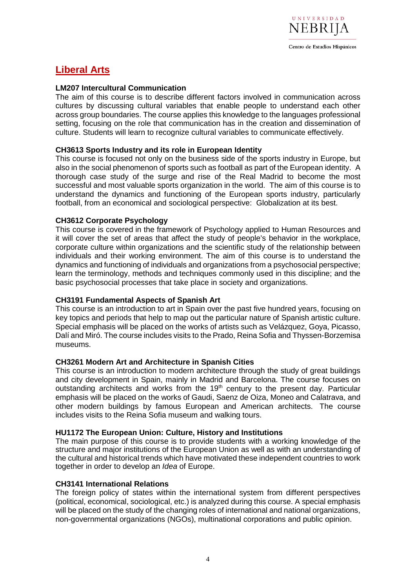

# **Liberal Arts**

#### **LM207 Intercultural Communication**

The aim of this course is to describe different factors involved in communication across cultures by discussing cultural variables that enable people to understand each other across group boundaries. The course applies this knowledge to the languages professional setting, focusing on the role that communication has in the creation and dissemination of culture. Students will learn to recognize cultural variables to communicate effectively.

#### **CH3613 Sports Industry and its role in European Identity**

This course is focused not only on the business side of the sports industry in Europe, but also in the social phenomenon of sports such as football as part of the European identity. A thorough case study of the surge and rise of the Real Madrid to become the most successful and most valuable sports organization in the world. The aim of this course is to understand the dynamics and functioning of the European sports industry, particularly football, from an economical and sociological perspective: Globalization at its best.

#### **CH3612 Corporate Psychology**

This course is covered in the framework of Psychology applied to Human Resources and it will cover the set of areas that affect the study of people's behavior in the workplace, corporate culture within organizations and the scientific study of the relationship between individuals and their working environment. The aim of this course is to understand the dynamics and functioning of individuals and organizations from a psychosocial perspective; learn the terminology, methods and techniques commonly used in this discipline; and the basic psychosocial processes that take place in society and organizations.

#### **CH3191 Fundamental Aspects of Spanish Art**

This course is an introduction to art in Spain over the past five hundred years, focusing on key topics and periods that help to map out the particular nature of Spanish artistic culture. Special emphasis will be placed on the works of artists such as Velázquez, Goya, Picasso, Dalí and Miró. The course includes visits to the Prado, Reina Sofia and Thyssen-Borzemisa museums.

#### **CH3261 Modern Art and Architecture in Spanish Cities**

This course is an introduction to modern architecture through the study of great buildings and city development in Spain, mainly in Madrid and Barcelona. The course focuses on outstanding architects and works from the 19<sup>th</sup> century to the present day. Particular emphasis will be placed on the works of Gaudi, Saenz de Oiza, Moneo and Calatrava, and other modern buildings by famous European and American architects. The course includes visits to the Reina Sofia museum and walking tours.

#### **HU1172 The European Union: Culture, History and Institutions**

The main purpose of this course is to provide students with a working knowledge of the structure and major institutions of the European Union as well as with an understanding of the cultural and historical trends which have motivated these independent countries to work together in order to develop an *Idea* of Europe.

#### **CH3141 International Relations**

The foreign policy of states within the international system from different perspectives (political, economical, sociological, etc.) is analyzed during this course. A special emphasis will be placed on the study of the changing roles of international and national organizations, non-governmental organizations (NGOs), multinational corporations and public opinion.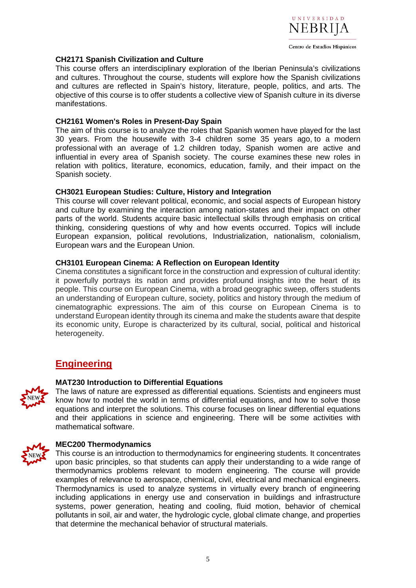

#### **CH2171 Spanish Civilization and Culture**

This course offers an interdisciplinary exploration of the Iberian Peninsula's civilizations and cultures. Throughout the course, students will explore how the Spanish civilizations and cultures are reflected in Spain's history, literature, people, politics, and arts. The objective of this course is to offer students a collective view of Spanish culture in its diverse manifestations.

#### **CH2161 Women's Roles in Present-Day Spain**

The aim of this course is to analyze the roles that Spanish women have played for the last 30 years. From the housewife with 3-4 children some 35 years ago, to a modern professional with an average of 1.2 children today, Spanish women are active and influential in every area of Spanish society. The course examines these new roles in relation with politics, literature, economics, education, family, and their impact on the Spanish society.

#### **CH3021 European Studies: Culture, History and Integration**

This course will cover relevant political, economic, and social aspects of European history and culture by examining the interaction among nation-states and their impact on other parts of the world. Students acquire basic intellectual skills through emphasis on critical thinking, considering questions of why and how events occurred. Topics will include European expansion, political revolutions, Industrialization, nationalism, colonialism, European wars and the European Union.

#### **CH3101 European Cinema: A Reflection on European Identity**

Cinema constitutes a significant force in the construction and expression of cultural identity: it powerfully portrays its nation and provides profound insights into the heart of its people. This course on European Cinema, with a broad geographic sweep, offers students an understanding of European culture, society, politics and history through the medium of cinematographic expressions. The aim of this course on European Cinema is to understand European identity through its cinema and make the students aware that despite its economic unity, Europe is characterized by its cultural, social, political and historical heterogeneity.

### **Engineering**



#### **MAT230 Introduction to Differential Equations**

The laws of nature are expressed as differential equations. Scientists and engineers must know how to model the world in terms of differential equations, and how to solve those equations and interpret the solutions. This course focuses on linear differential equations and their applications in science and engineering. There will be some activities with mathematical software.



#### **MEC200 Thermodynamics**

This course is an introduction to thermodynamics for engineering students. It concentrates upon basic principles, so that students can apply their understanding to a wide range of thermodynamics problems relevant to modern engineering. The course will provide examples of relevance to aerospace, chemical, civil, electrical and mechanical engineers. Thermodynamics is used to analyze systems in virtually every branch of engineering including applications in energy use and conservation in buildings and infrastructure systems, power generation, heating and cooling, fluid motion, behavior of chemical pollutants in soil, air and water, the hydrologic cycle, global climate change, and properties that determine the mechanical behavior of structural materials.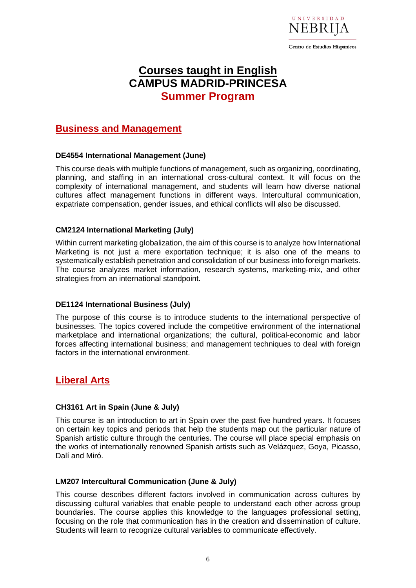

# **Courses taught in English CAMPUS MADRID-PRINCESA Summer Program**

## **Business and Management**

#### **DE4554 International Management (June)**

This course deals with multiple functions of management, such as organizing, coordinating, planning, and staffing in an international cross-cultural context. It will focus on the complexity of international management, and students will learn how diverse national cultures affect management functions in different ways. Intercultural communication, expatriate compensation, gender issues, and ethical conflicts will also be discussed.

#### **CM2124 International Marketing (July)**

Within current marketing globalization, the aim of this course is to analyze how International Marketing is not just a mere exportation technique; it is also one of the means to systematically establish penetration and consolidation of our business into foreign markets. The course analyzes market information, research systems, marketing-mix, and other strategies from an international standpoint.

#### **DE1124 International Business (July)**

The purpose of this course is to introduce students to the international perspective of businesses. The topics covered include the competitive environment of the international marketplace and international organizations; the cultural, political-economic and labor forces affecting international business; and management techniques to deal with foreign factors in the international environment.

## **Liberal Arts**

#### **CH3161 Art in Spain (June & July)**

This course is an introduction to art in Spain over the past five hundred years. It focuses on certain key topics and periods that help the students map out the particular nature of Spanish artistic culture through the centuries. The course will place special emphasis on the works of internationally renowned Spanish artists such as Velázquez, Goya, Picasso, Dalí and Miró.

#### **LM207 Intercultural Communication (June & July)**

This course describes different factors involved in communication across cultures by discussing cultural variables that enable people to understand each other across group boundaries. The course applies this knowledge to the languages professional setting, focusing on the role that communication has in the creation and dissemination of culture. Students will learn to recognize cultural variables to communicate effectively.